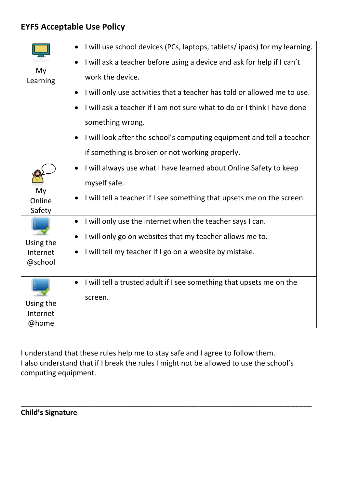## **EYFS Acceptable Use Policy**

|                       | I will use school devices (PCs, laptops, tablets/ ipads) for my learning.         |
|-----------------------|-----------------------------------------------------------------------------------|
|                       | I will ask a teacher before using a device and ask for help if I can't            |
| My<br>Learning        | work the device.                                                                  |
|                       | I will only use activities that a teacher has told or allowed me to use.          |
|                       | I will ask a teacher if I am not sure what to do or I think I have done           |
|                       | something wrong.                                                                  |
|                       | I will look after the school's computing equipment and tell a teacher             |
|                       | if something is broken or not working properly.                                   |
|                       | I will always use what I have learned about Online Safety to keep                 |
|                       | myself safe.                                                                      |
| My<br>Online          | I will tell a teacher if I see something that upsets me on the screen.            |
| Safety                |                                                                                   |
|                       | I will only use the internet when the teacher says I can.<br>$\bullet$            |
|                       | I will only go on websites that my teacher allows me to.                          |
| Using the<br>Internet | I will tell my teacher if I go on a website by mistake.                           |
| @school               |                                                                                   |
|                       |                                                                                   |
|                       | I will tell a trusted adult if I see something that upsets me on the<br>$\bullet$ |
|                       | screen.                                                                           |
| Using the             |                                                                                   |
| Internet              |                                                                                   |
| @home                 |                                                                                   |

I understand that these rules help me to stay safe and I agree to follow them. I also understand that if I break the rules I might not be allowed to use the school's computing equipment.

**\_\_\_\_\_\_\_\_\_\_\_\_\_\_\_\_\_\_\_\_\_\_\_\_\_\_\_\_\_\_\_\_\_\_\_\_\_\_\_\_\_\_\_\_\_\_\_\_\_\_\_\_\_\_\_\_\_\_\_\_\_\_\_\_\_\_\_\_\_\_\_\_**